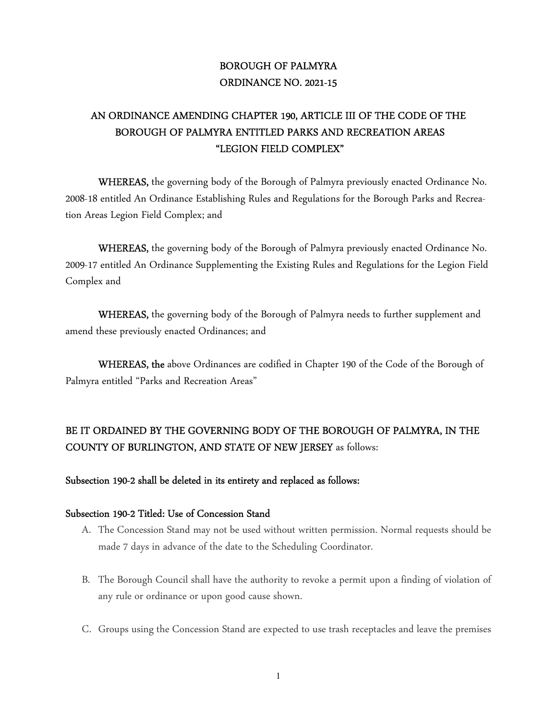# BOROUGH OF PALMYRA ORDINANCE NO. 2021-15

# AN ORDINANCE AMENDING CHAPTER 190, ARTICLE III OF THE CODE OF THE BOROUGH OF PALMYRA ENTITLED PARKS AND RECREATION AREAS "LEGION FIELD COMPLEX"

 WHEREAS, the governing body of the Borough of Palmyra previously enacted Ordinance No. 2008-18 entitled An Ordinance Establishing Rules and Regulations for the Borough Parks and Recreation Areas Legion Field Complex; and

WHEREAS, the governing body of the Borough of Palmyra previously enacted Ordinance No. 2009-17 entitled An Ordinance Supplementing the Existing Rules and Regulations for the Legion Field Complex and

WHEREAS, the governing body of the Borough of Palmyra needs to further supplement and amend these previously enacted Ordinances; and

WHEREAS, the above Ordinances are codified in Chapter 190 of the Code of the Borough of Palmyra entitled "Parks and Recreation Areas"

# BE IT ORDAINED BY THE GOVERNING BODY OF THE BOROUGH OF PALMYRA, IN THE COUNTY OF BURLINGTON, AND STATE OF NEW JERSEY as follows:

# Subsection 190-2 shall be deleted in its entirety and replaced as follows:

# Subsection 190-2 Titled: Use of Concession Stand

- A. The Concession Stand may not be used without written permission. Normal requests should be made 7 days in advance of the date to the Scheduling Coordinator.
- B. The Borough Council shall have the authority to revoke a permit upon a finding of violation of any rule or ordinance or upon good cause shown.
- C. Groups using the Concession Stand are expected to use trash receptacles and leave the premises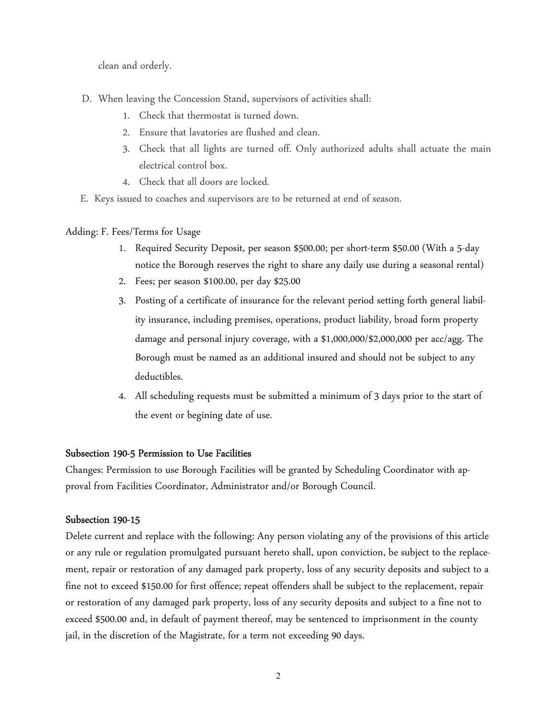clean and orderly.

- D. When leaving the Concession Stand, supervisors of activities shall:
	- 1. Check that thermostat is turned down.
	- 2. Ensure that lavatories are flushed and clean.
	- 3. Check that all lights are turned off. Only authorized adults shall actuate the main electrical control box.
	- 4. Check that all doors are locked.
- E. Keys issued to coaches and supervisors are to be returned at end of season.

# Adding: F. Fees/Terms for Usage

- 1. Required Security Deposit, per season \$500.00; per short-term \$50.00 (With a 5-day notice the Borough reserves the right to share any daily use during a seasonal rental)
- 2. Fees; per season \$100.00, per day \$25.00
- 3. Posting of a certificate of insurance for the relevant period setting forth general liability insurance, including premises, operations, product liability, broad form property damage and personal injury coverage, with a \$1,000,000/\$2,000,000 per acc/agg. The Borough must be named as an additional insured and should not be subject to any deductibles.
- 4. All scheduling requests must be submitted a minimum of 3 days prior to the start of the event or begining date of use.

# Subsection 190-5 Permission to Use Facilities

Changes: Permission to use Borough Facilities will be granted by Scheduling Coordinator with approval from Facilities Coordinator, Administrator and/or Borough Council.

# Subsection 190-15

Delete current and replace with the following: Any person violating any of the provisions of this article or any rule or regulation promulgated pursuant hereto shall, upon conviction, be subject to the replacement, repair or restoration of any damaged park property, loss of any security deposits and subject to a fine not to exceed \$150.00 for first offence; repeat offenders shall be subject to the replacement, repair or restoration of any damaged park property, loss of any security deposits and subject to a fine not to exceed \$500.00 and, in default of payment thereof, may be sentenced to imprisonment in the county jail, in the discretion of the Magistrate, for a term not exceeding 90 days.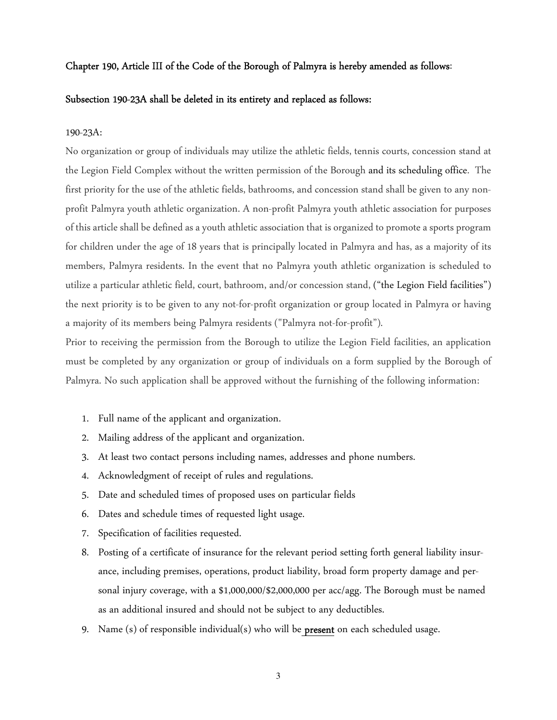## Chapter 190, Article III of the Code of the Borough of Palmyra is hereby amended as follows:

### Subsection 190-23A shall be deleted in its entirety and replaced as follows:

#### 190-23A:

No organization or group of individuals may utilize the athletic fields, tennis courts, concession stand at the Legion Field Complex without the written permission of the Borough and its scheduling office. The first priority for the use of the athletic fields, bathrooms, and concession stand shall be given to any nonprofit Palmyra youth athletic organization. A non-profit Palmyra youth athletic association for purposes of this article shall be defined as a youth athletic association that is organized to promote a sports program for children under the age of 18 years that is principally located in Palmyra and has, as a majority of its members, Palmyra residents. In the event that no Palmyra youth athletic organization is scheduled to utilize a particular athletic field, court, bathroom, and/or concession stand, ("the Legion Field facilities") the next priority is to be given to any not-for-profit organization or group located in Palmyra or having a majority of its members being Palmyra residents ("Palmyra not-for-profit").

Prior to receiving the permission from the Borough to utilize the Legion Field facilities, an application must be completed by any organization or group of individuals on a form supplied by the Borough of Palmyra. No such application shall be approved without the furnishing of the following information:

- 1. Full name of the applicant and organization.
- 2. Mailing address of the applicant and organization.
- 3. At least two contact persons including names, addresses and phone numbers.
- 4. Acknowledgment of receipt of rules and regulations.
- 5. Date and scheduled times of proposed uses on particular fields
- 6. Dates and schedule times of requested light usage.
- 7. Specification of facilities requested.
- 8. Posting of a certificate of insurance for the relevant period setting forth general liability insurance, including premises, operations, product liability, broad form property damage and personal injury coverage, with a \$1,000,000/\$2,000,000 per acc/agg. The Borough must be named as an additional insured and should not be subject to any deductibles.
- 9. Name (s) of responsible individual(s) who will be **present** on each scheduled usage.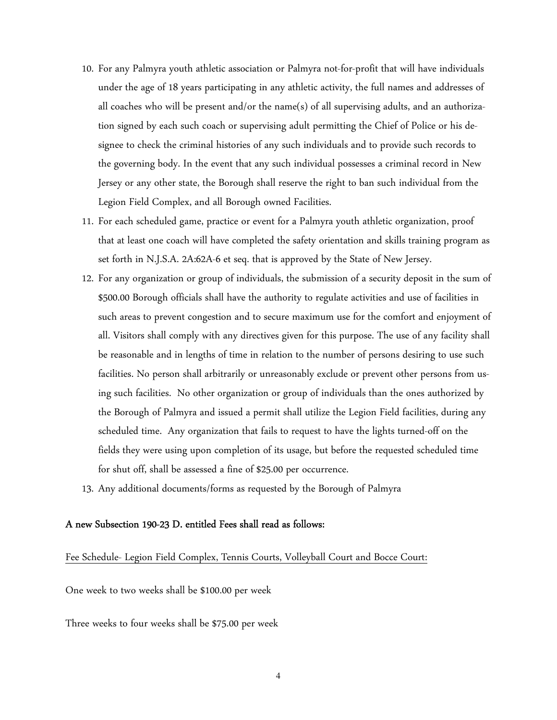- 10. For any Palmyra youth athletic association or Palmyra not-for-profit that will have individuals under the age of 18 years participating in any athletic activity, the full names and addresses of all coaches who will be present and/or the name(s) of all supervising adults, and an authorization signed by each such coach or supervising adult permitting the Chief of Police or his designee to check the criminal histories of any such individuals and to provide such records to the governing body. In the event that any such individual possesses a criminal record in New Jersey or any other state, the Borough shall reserve the right to ban such individual from the Legion Field Complex, and all Borough owned Facilities.
- 11. For each scheduled game, practice or event for a Palmyra youth athletic organization, proof that at least one coach will have completed the safety orientation and skills training program as set forth in N.J.S.A. 2A:62A-6 et seq. that is approved by the State of New Jersey.
- 12. For any organization or group of individuals, the submission of a security deposit in the sum of \$500.00 Borough officials shall have the authority to regulate activities and use of facilities in such areas to prevent congestion and to secure maximum use for the comfort and enjoyment of all. Visitors shall comply with any directives given for this purpose. The use of any facility shall be reasonable and in lengths of time in relation to the number of persons desiring to use such facilities. No person shall arbitrarily or unreasonably exclude or prevent other persons from using such facilities. No other organization or group of individuals than the ones authorized by the Borough of Palmyra and issued a permit shall utilize the Legion Field facilities, during any scheduled time. Any organization that fails to request to have the lights turned-off on the fields they were using upon completion of its usage, but before the requested scheduled time for shut off, shall be assessed a fine of \$25.00 per occurrence.
- 13. Any additional documents/forms as requested by the Borough of Palmyra

## A new Subsection 190-23 D. entitled Fees shall read as follows:

# Fee Schedule- Legion Field Complex, Tennis Courts, Volleyball Court and Bocce Court:

One week to two weeks shall be \$100.00 per week

Three weeks to four weeks shall be \$75.00 per week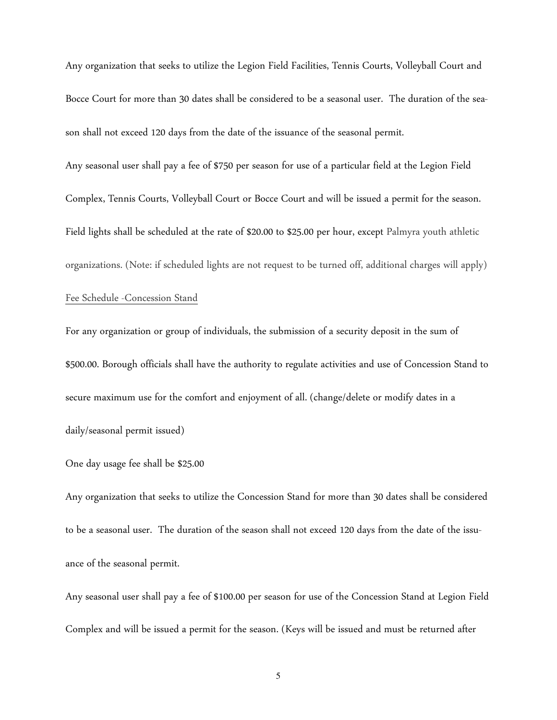Any organization that seeks to utilize the Legion Field Facilities, Tennis Courts, Volleyball Court and Bocce Court for more than 30 dates shall be considered to be a seasonal user. The duration of the season shall not exceed 120 days from the date of the issuance of the seasonal permit.

Any seasonal user shall pay a fee of \$750 per season for use of a particular field at the Legion Field Complex, Tennis Courts, Volleyball Court or Bocce Court and will be issued a permit for the season. Field lights shall be scheduled at the rate of \$20.00 to \$25.00 per hour, except Palmyra youth athletic organizations. (Note: if scheduled lights are not request to be turned off, additional charges will apply) Fee Schedule -Concession Stand

For any organization or group of individuals, the submission of a security deposit in the sum of \$500.00. Borough officials shall have the authority to regulate activities and use of Concession Stand to secure maximum use for the comfort and enjoyment of all. (change/delete or modify dates in a daily/seasonal permit issued)

## One day usage fee shall be \$25.00

Any organization that seeks to utilize the Concession Stand for more than 30 dates shall be considered to be a seasonal user. The duration of the season shall not exceed 120 days from the date of the issuance of the seasonal permit.

Any seasonal user shall pay a fee of \$100.00 per season for use of the Concession Stand at Legion Field Complex and will be issued a permit for the season. (Keys will be issued and must be returned after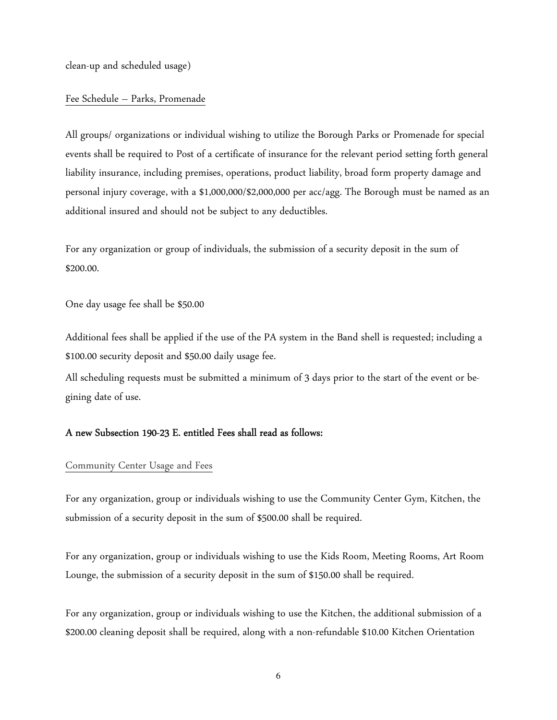clean-up and scheduled usage)

## Fee Schedule – Parks, Promenade

All groups/ organizations or individual wishing to utilize the Borough Parks or Promenade for special events shall be required to Post of a certificate of insurance for the relevant period setting forth general liability insurance, including premises, operations, product liability, broad form property damage and personal injury coverage, with a \$1,000,000/\$2,000,000 per acc/agg. The Borough must be named as an additional insured and should not be subject to any deductibles.

For any organization or group of individuals, the submission of a security deposit in the sum of \$200.00.

One day usage fee shall be \$50.00

Additional fees shall be applied if the use of the PA system in the Band shell is requested; including a \$100.00 security deposit and \$50.00 daily usage fee.

All scheduling requests must be submitted a minimum of 3 days prior to the start of the event or begining date of use.

# A new Subsection 190-23 E. entitled Fees shall read as follows:

#### Community Center Usage and Fees

For any organization, group or individuals wishing to use the Community Center Gym, Kitchen, the submission of a security deposit in the sum of \$500.00 shall be required.

For any organization, group or individuals wishing to use the Kids Room, Meeting Rooms, Art Room Lounge, the submission of a security deposit in the sum of \$150.00 shall be required.

For any organization, group or individuals wishing to use the Kitchen, the additional submission of a \$200.00 cleaning deposit shall be required, along with a non-refundable \$10.00 Kitchen Orientation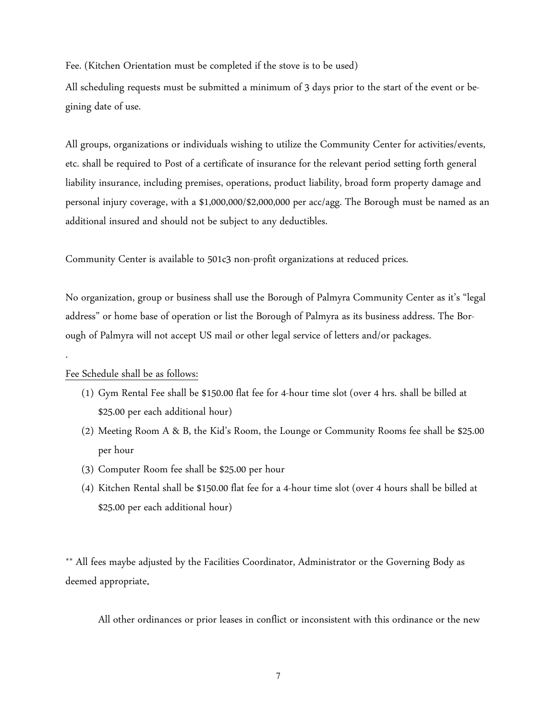Fee. (Kitchen Orientation must be completed if the stove is to be used)

All scheduling requests must be submitted a minimum of 3 days prior to the start of the event or begining date of use.

All groups, organizations or individuals wishing to utilize the Community Center for activities/events, etc. shall be required to Post of a certificate of insurance for the relevant period setting forth general liability insurance, including premises, operations, product liability, broad form property damage and personal injury coverage, with a \$1,000,000/\$2,000,000 per acc/agg. The Borough must be named as an additional insured and should not be subject to any deductibles.

Community Center is available to 501c3 non-profit organizations at reduced prices.

No organization, group or business shall use the Borough of Palmyra Community Center as it's "legal address" or home base of operation or list the Borough of Palmyra as its business address. The Borough of Palmyra will not accept US mail or other legal service of letters and/or packages.

## Fee Schedule shall be as follows:

.

- (1) Gym Rental Fee shall be \$150.00 flat fee for 4-hour time slot (over 4 hrs. shall be billed at \$25.00 per each additional hour)
- (2) Meeting Room A & B, the Kid's Room, the Lounge or Community Rooms fee shall be \$25.00 per hour
- (3) Computer Room fee shall be \$25.00 per hour
- (4) Kitchen Rental shall be \$150.00 flat fee for a 4-hour time slot (over 4 hours shall be billed at \$25.00 per each additional hour)

\*\* All fees maybe adjusted by the Facilities Coordinator, Administrator or the Governing Body as deemed appropriate.

All other ordinances or prior leases in conflict or inconsistent with this ordinance or the new